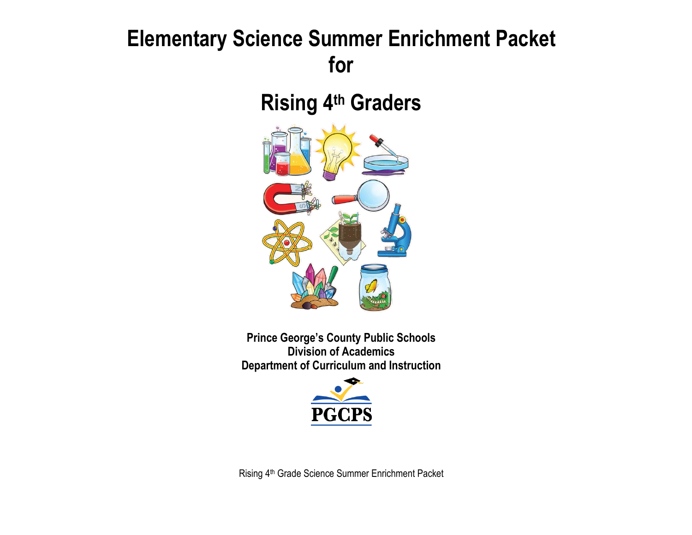# **Elementary Science Summer Enrichment Packet for**

**Rising 4 th Graders**



**Prince George's County Public Schools Division of Academics Department of Curriculum and Instruction**



Rising 4th Grade Science Summer Enrichment Packet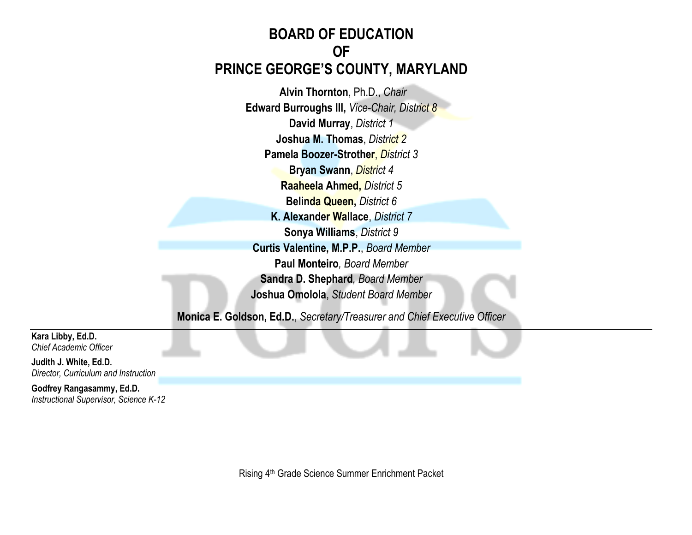# **BOARD OF EDUCATION OF PRINCE GEORGE'S COUNTY, MARYLAND**

**Alvin Thornton**, Ph.D., *Chair* **Edward Burroughs III,** *Vice-Chair, District 8* **David Murray**, *District 1* **Joshua M. Thomas**, *District 2* **Pamela Boozer-Strother**, *District 3* **Bryan Swann**, *District 4* **Raaheela Ahmed,** *District 5* **Belinda Queen,** *District 6* **K. Alexander Wallace**, *District 7* **Sonya Williams**, *District 9* **Curtis Valentine, M.P.P.**, *Board Member* **Paul Monteiro***, Board Member* **Sandra D. Shephard***, Board Member* **Joshua Omolola**, *Student Board Member*

**Monica E. Goldson, Ed.D.**, *Secretary/Treasurer and Chief Executive Officer*

**Kara Libby, Ed.D.** *Chief Academic Officer*

**Judith J. White, Ed.D.** *Director, Curriculum and Instruction*

**Godfrey Rangasammy, Ed.D.** *Instructional Supervisor, Science K-12*

Rising 4<sup>th</sup> Grade Science Summer Enrichment Packet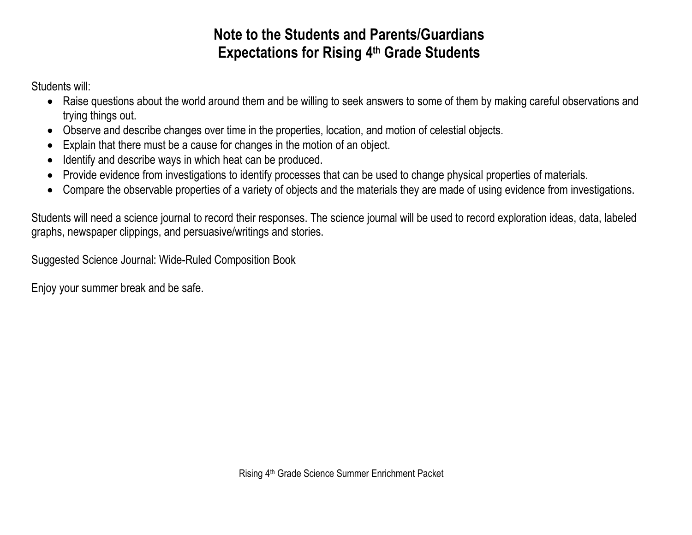# **Note to the Students and Parents/Guardians Expectations for Rising 4 th Grade Students**

Students will:

- Raise questions about the world around them and be willing to seek answers to some of them by making careful observations and trying things out.
- Observe and describe changes over time in the properties, location, and motion of celestial objects.
- Explain that there must be a cause for changes in the motion of an object.
- Identify and describe ways in which heat can be produced.
- Provide evidence from investigations to identify processes that can be used to change physical properties of materials.
- Compare the observable properties of a variety of objects and the materials they are made of using evidence from investigations.

Students will need a science journal to record their responses. The science journal will be used to record exploration ideas, data, labeled graphs, newspaper clippings, and persuasive/writings and stories.

Suggested Science Journal: Wide-Ruled Composition Book

Enjoy your summer break and be safe.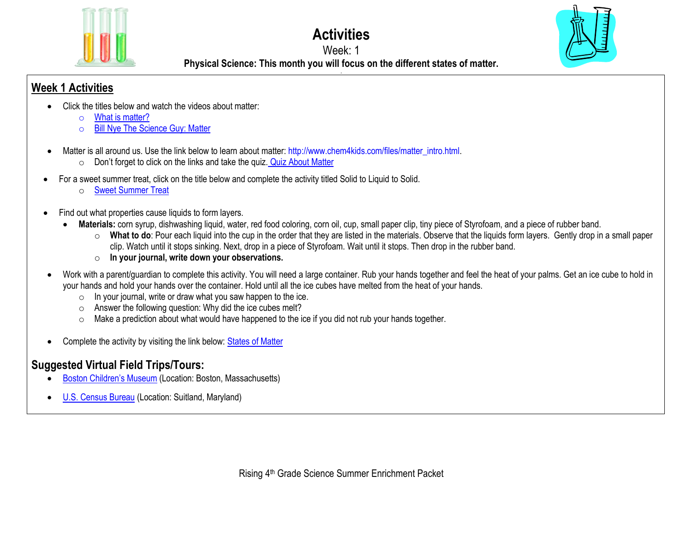

**Activities**

#### Week: 1

**.**



**Physical Science: This month you will focus on the different states of matter.**

## **Week 1 Activities**

- Click the titles below and watch the videos about matter:
	- o [What is matter?](https://www.youtube.com/watch?v=7mGxgvFa-5Q)
	- o [Bill Nye The Science Guy: Matter](https://www.youtube.com/watch?v=k3SJuozgbfU)
- Matter is all around us. Use the link below to learn about matter: [http://www.chem4kids.com/files/matter\\_intro.html.](http://www.chem4kids.com/files/matter_intro.html)
	- $\circ$  Don't forget to click on the links and take the quiz. [Quiz About Matter](http://www.chem4kids.com/extras/quiz_matterintro/index.html)
- For a sweet summer treat, click on the title below and complete the activity titled Solid to Liquid to Solid.
	- o [Sweet Summer Treat](https://docs.google.com/document/d/1vj2FAal6-fWzQWUQnYTfwHOCw3RW1Y02_91ahahffyw/edit?usp=sharing)
- Find out what properties cause liquids to form layers.
	- **Materials:** corn syrup, dishwashing liquid, water, red food coloring, corn oil, cup, small paper clip, tiny piece of Styrofoam, and a piece of rubber band.
		- o **What to do**: Pour each liquid into the cup in the order that they are listed in the materials. Observe that the liquids form layers. Gently drop in a small paper clip. Watch until it stops sinking. Next, drop in a piece of Styrofoam. Wait until it stops. Then drop in the rubber band.
		- o **In your journal, write down your observations.**
- Work with a parent/guardian to complete this activity. You will need a large container. Rub your hands together and feel the heat of your palms. Get an ice cube to hold in your hands and hold your hands over the container. Hold until all the ice cubes have melted from the heat of your hands.
	- $\circ$  In your journal, write or draw what you saw happen to the ice.
	- $\circ$  Answer the following question: Why did the ice cubes melt?
	- $\circ$  Make a prediction about what would have happened to the ice if you did not rub your hands together.
- Complete the activity by visiting the link below: [States of Matter](http://www.abcya.com/states_of_matter.htm)

# **Suggested Virtual Field Trips/Tours:**

- [Boston Children's Museum](https://www.bostonchildrensmuseum.org/museum-virtual-tour) (Location: Boston, Massachusetts)
- [U.S. Census Bureau](https://www.census.gov/library/video/2020/mission-census-virtual-field-trip-to-the-census-bureau.html) (Location: Suitland, Maryland)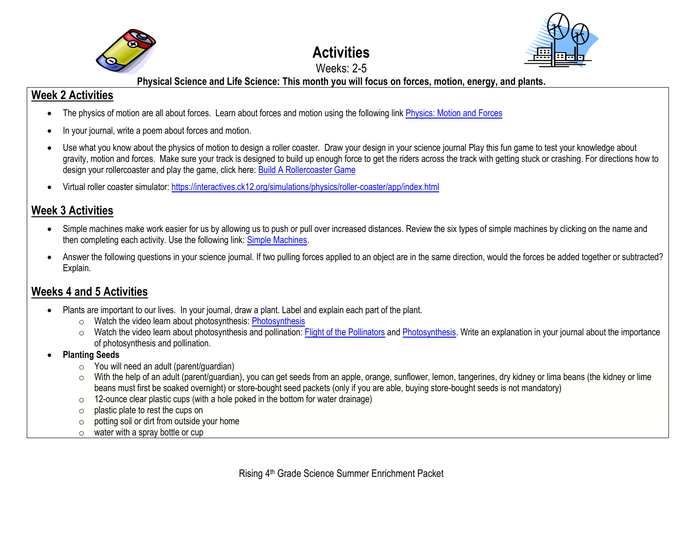

# **Activities**



#### Weeks: 2-5 **Physical Science and Life Science: This month you will focus on forces, motion, energy, and plants.**

## **Week 2 Activities**

- The physics of motion are all about forces. Learn about forces and motion using the following link [Physics: Motion and Forces](http://bit.ly/cAqyPe)
- In your journal, write a poem about forces and motion.
- Use what you know about the physics of motion to design a roller coaster. Draw your design in your science journal Play this fun game to test your knowledge about gravity, motion and forces. Make sure your track is designed to build up enough force to get the riders across the track with getting stuck or crashing. For directions how to design your rollercoaster and play the game, click here[: Build A Rollercoaster Game](https://www.learn4good.com/games/building-construction/rollercoastergame.htm)
- Virtual roller coaster simulator: <https://interactives.ck12.org/simulations/physics/roller-coaster/app/index.html>

## **Week 3 Activities**

- Simple machines make work easier for us by allowing us to push or pull over increased distances. Review the six types of simple machines by clicking on the name and then completing each activity. Use the following link[: Simple Machines.](http://bit.ly/11FE75)
- Answer the following questions in your science journal. If two pulling forces applied to an object are in the same direction, would the forces be added together or subtracted? Explain.

## **Weeks 4 and 5 Activities**

- Plants are important to our lives. In your journal, draw a plant. Label and explain each part of the plant.
	- o Watch the video learn about photosynthesis: [Photosynthesis](http://studyjams.scholastic.com/studyjams/jams/science/plants/photosynthesis.htm)
	- o Watch the video learn about photosynthesis and pollination[: Flight of the Pollinators](https://www.pbslearningmedia.org/resource/7029ed58-adaa-43d6-a46a-105e84f2511f/7029ed58-adaa-43d6-a46a-105e84f2511f/) an[d Photosynthesis.](https://www.pbslearningmedia.org/resource/mister-c-photosynthesis/photosynthesis/) Write an explanation in your journal about the importance of photosynthesis and pollination.
- **Planting Seeds**
	- $\circ$  You will need an adult (parent/guardian)
	- o With the help of an adult (parent/guardian), you can get seeds from an apple, orange, sunflower, lemon, tangerines, dry kidney or lima beans (the kidney or lime beans must first be soaked overnight) or store-bought seed packets (only if you are able, buying store-bought seeds is not mandatory)
	- o 12-ounce clear plastic cups (with a hole poked in the bottom for water drainage)
	- o plastic plate to rest the cups on
	- $\circ$  potting soil or dirt from outside your home
	- o water with a spray bottle or cup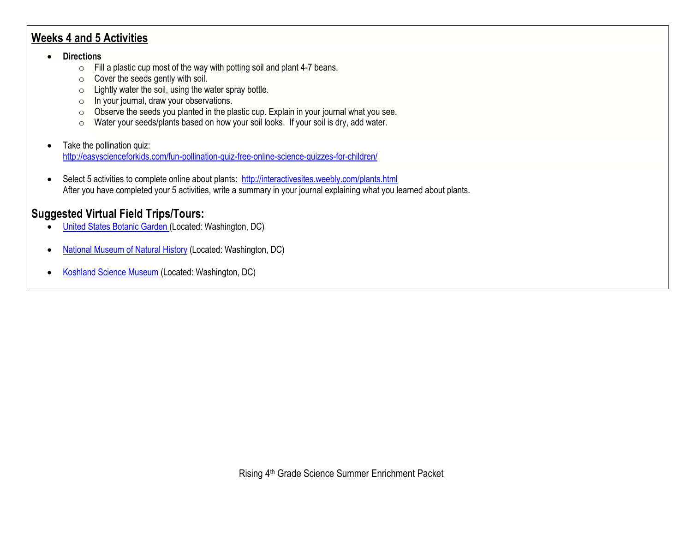#### **Weeks 4 and 5 Activities**

#### • **Directions**

- o Fill a plastic cup most of the way with potting soil and plant 4-7 beans.
- o Cover the seeds gently with soil.
- $\circ$  Lightly water the soil, using the water spray bottle.
- o In your journal, draw your observations.
- o Observe the seeds you planted in the plastic cup. Explain in your journal what you see.
- o Water your seeds/plants based on how your soil looks. If your soil is dry, add water.
- Take the pollination quiz: <http://easyscienceforkids.com/fun-pollination-quiz-free-online-science-quizzes-for-children/>
- Select 5 activities to complete online about plants:<http://interactivesites.weebly.com/plants.html> After you have completed your 5 activities, write a summary in your journal explaining what you learned about plants.

## **Suggested Virtual Field Trips/Tours:**

- [United States Botanic Garden](https://www.usbg.gov/take-virtual-tour) (Located: Washington, DC)
- [National Museum of Natural](https://naturalhistory.si.edu/search/virtual%2Btour) History (Located: Washington, DC)
- [Koshland Science Museum](https://www.koshland-science-museum.org/) (Located: Washington, DC)